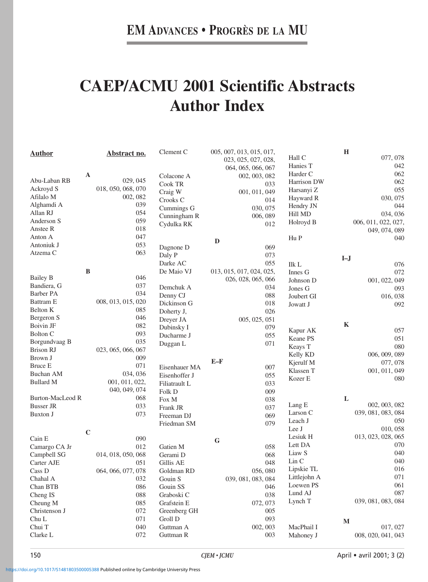## **CAEP/ACMU 2001 Scientific Abstracts Author Index**

| <b>Author</b>    |             | <u>Abstract no.</u> | Clement C     |              | 005, 007, 013, 015, 017, |                                        | $\bf H$      |                     |
|------------------|-------------|---------------------|---------------|--------------|--------------------------|----------------------------------------|--------------|---------------------|
|                  |             |                     |               |              | 023, 025, 027, 028,      | Hall C                                 |              | 077, 078            |
|                  |             |                     |               |              | 064, 065, 066, 067       | Hanies T                               |              | 042                 |
|                  | A           |                     | Colacone A    |              | 002, 003, 082            | Harder C                               |              | 062                 |
| Abu-Laban RB     |             | 029, 045            | Cook TR       |              | 033                      | Harrison DW                            |              | 062                 |
| Ackroyd S        |             | 018, 050, 068, 070  | Craig W       |              | 001, 011, 049            | Harsanyi Z                             |              | 055                 |
| Afilalo M        |             | 002, 082            | Crooks C      |              | 014                      | Hayward R                              |              | 030, 075            |
| Alghamdi A       |             | 039                 |               |              | 030, 075                 | Hendry JN                              |              | 044                 |
| Allan RJ         |             | 054                 | Cummings G    |              |                          | Hill MD                                |              | 034, 036            |
| Anderson S       |             | 059                 | Cunningham R  |              | 006, 089                 | Holroyd B                              |              | 006, 011, 022, 027, |
| Anstee R         |             | 018                 | Cydulka RK    |              | 012                      |                                        |              | 049, 074, 089       |
| Anton A          |             | 047                 |               |              |                          | Hu P                                   |              | 040                 |
| Antoniuk J       |             | 053                 |               | $\mathbf{D}$ |                          |                                        |              |                     |
| Atzema C         |             | 063                 | Dagnone D     |              | 069                      |                                        |              |                     |
|                  |             |                     | Daly P        |              | 073                      |                                        | $I-J$        |                     |
|                  |             |                     | Darke AC      |              | 055                      | Ilk L                                  |              | 076                 |
|                  | $\bf{B}$    |                     | De Maio VJ    |              | 013, 015, 017, 024, 025, | Innes G                                |              | 072                 |
| <b>Bailey B</b>  |             | 046                 |               |              | 026, 028, 065, 066       | Johnson D                              |              | 001, 022, 049       |
| Bandiera, G      |             | 037                 | Demchuk A     |              | 034                      | Jones G                                |              | 093                 |
| <b>Barber PA</b> |             | 034                 | Denny CJ      |              | 088                      | Joubert GI                             |              | 016, 038            |
| Battram E        |             | 008, 013, 015, 020  | Dickinson G   |              | 018                      | Jowatt J                               |              | 092                 |
| Belton K         |             | 085                 | Doherty J,    |              | 026                      |                                        |              |                     |
| Bergeron S       |             | 046                 | Dreyer JA     |              | 005, 025, 051            |                                        |              |                     |
| <b>Boivin JF</b> |             | 082                 | Dubinsky I    |              | 079                      |                                        | $\mathbf K$  |                     |
| <b>Bolton C</b>  |             | 093                 | Ducharme J    |              | 055                      | Kapur AK                               |              | 057                 |
| Borgundvaag B    |             | 035                 | Duggan L      |              | 071                      | Keane PS                               |              | 051                 |
| <b>Brison RJ</b> |             | 023, 065, 066, 067  |               |              |                          | Keays T                                |              | 080                 |
| Brown J          |             | 009                 |               |              |                          | Kelly KD                               |              | 006, 009, 089       |
| <b>Bruce E</b>   |             | 071                 |               | $E-F$        |                          | Kjerulf M                              |              | 077, 078            |
| <b>Buchan AM</b> |             |                     | Eisenhauer MA |              | 007                      | Klassen T                              |              | 001, 011, 049       |
|                  |             | 034, 036            | Eisenhoffer J |              | 055                      | Kozer E                                |              | 080                 |
| <b>Bullard M</b> |             | 001, 011, 022,      | Filiatrault L |              | 033                      |                                        |              |                     |
|                  |             | 040, 049, 074       | Folk D        |              | 009                      |                                        |              |                     |
| Burton-MacLeod R |             | 068                 | Fox M         |              | 038                      |                                        | L            |                     |
| <b>Busser JR</b> |             | 033                 | Frank JR      |              | 037                      | Lang E                                 |              | 002, 003, 082       |
| <b>Buxton J</b>  |             | 073                 | Freeman DJ    |              | 069                      | Larson C                               |              | 039, 081, 083, 084  |
|                  |             |                     | Friedman SM   |              | 079                      | Leach J                                |              | 050                 |
|                  | $\mathbf C$ |                     |               |              |                          | Lee J                                  |              | 010, 058            |
| Cain E           |             | 090                 |               | ${\bf G}$    |                          | Lesiuk H                               |              | 013, 023, 028, 065  |
| Camargo CA Jr    |             | 012                 | Gatien M      |              | 058                      | Lett DA                                |              | 070                 |
| Campbell SG      |             | 014, 018, 050, 068  | Gerami D      |              | 068                      | Liaw S                                 |              | 040                 |
| Carter AJE       |             | 051                 | Gillis AE     |              | 048                      | $\mathop{\rm Lin}\nolimits{\mathbf C}$ |              | 040                 |
| Cass D           |             | 064, 066, 077, 078  | Goldman RD    |              | 056, 080                 | Lipskie TL                             |              | 016                 |
| Chahal A         |             | 032                 | Gouin S       |              | 039, 081, 083, 084       | Littlejohn A                           |              | 071                 |
| Chan BTB         |             | 086                 | Gouin SS      |              | 046                      | Loewen PS                              |              | 061                 |
|                  |             |                     |               |              |                          | Lund AJ                                |              | 087                 |
| Cheng IS         |             | 088                 | Graboski C    |              | 038                      | Lynch T                                |              | 039, 081, 083, 084  |
| Cheung M         |             | 085                 | Grafstein E   |              | 072, 073                 |                                        |              |                     |
| Christenson J    |             | 072                 | Greenberg GH  |              | 005                      |                                        |              |                     |
| Chu L            |             | 071                 | Groll D       |              | 093                      |                                        | $\mathbf{M}$ |                     |
| Chui T           |             | 040                 | Guttman A     |              | 002, 003                 | MacPhail I                             |              | 017, 027            |
| Clarke L         |             | 072                 | Guttman R     |              | 003                      | Mahoney J                              |              | 008, 020, 041, 043  |
|                  |             |                     |               |              |                          |                                        |              |                     |